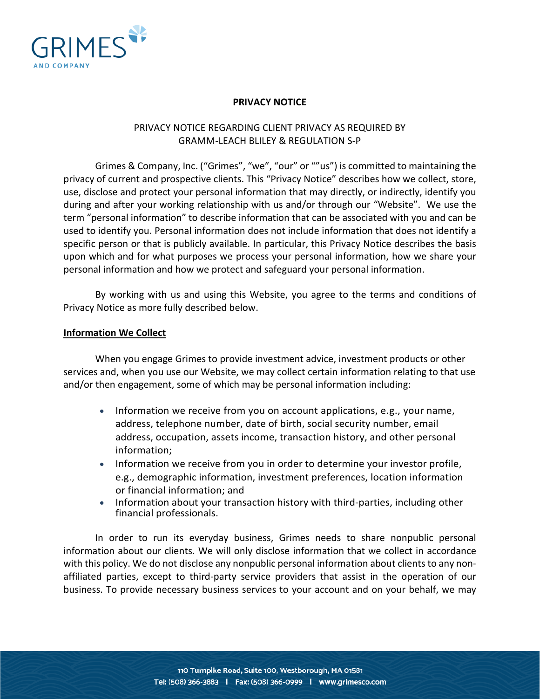

## **PRIVACY NOTICE**

# PRIVACY NOTICE REGARDING CLIENT PRIVACY AS REQUIRED BY GRAMM-LEACH BLILEY & REGULATION S-P

Grimes & Company, Inc. ("Grimes", "we", "our" or ""us") is committed to maintaining the privacy of current and prospective clients. This "Privacy Notice" describes how we collect, store, use, disclose and protect your personal information that may directly, or indirectly, identify you during and after your working relationship with us and/or through our "Website". We use the term "personal information" to describe information that can be associated with you and can be used to identify you. Personal information does not include information that does not identify a specific person or that is publicly available. In particular, this Privacy Notice describes the basis upon which and for what purposes we process your personal information, how we share your personal information and how we protect and safeguard your personal information.

By working with us and using this Website, you agree to the terms and conditions of Privacy Notice as more fully described below.

## **Information We Collect**

When you engage Grimes to provide investment advice, investment products or other services and, when you use our Website, we may collect certain information relating to that use and/or then engagement, some of which may be personal information including:

- Information we receive from you on account applications, e.g., your name, address, telephone number, date of birth, social security number, email address, occupation, assets income, transaction history, and other personal information;
- Information we receive from you in order to determine your investor profile, e.g., demographic information, investment preferences, location information or financial information; and
- Information about your transaction history with third-parties, including other financial professionals.

In order to run its everyday business, Grimes needs to share nonpublic personal information about our clients. We will only disclose information that we collect in accordance with this policy. We do not disclose any nonpublic personal information about clients to any nonaffiliated parties, except to third-party service providers that assist in the operation of our business. To provide necessary business services to your account and on your behalf, we may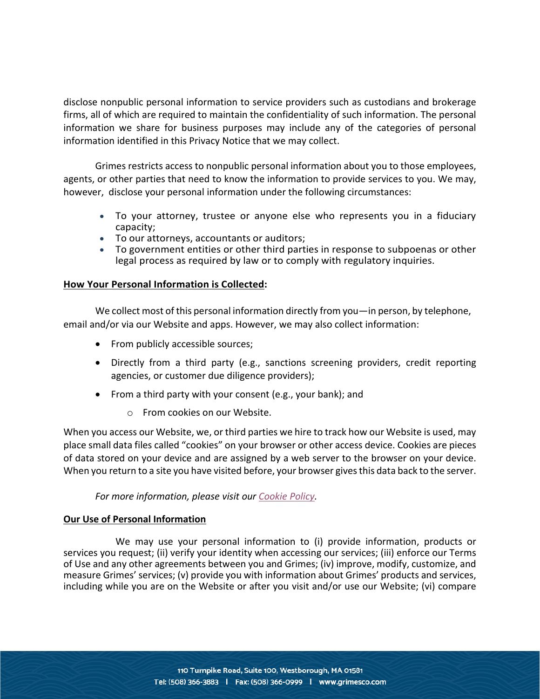disclose nonpublic personal information to service providers such as custodians and brokerage firms, all of which are required to maintain the confidentiality of such information. The personal information we share for business purposes may include any of the categories of personal information identified in this Privacy Notice that we may collect.

Grimes restricts access to nonpublic personal information about you to those employees, agents, or other parties that need to know the information to provide services to you. We may, however, disclose your personal information under the following circumstances:

- To your attorney, trustee or anyone else who represents you in a fiduciary capacity;
- To our attorneys, accountants or auditors;
- To government entities or other third parties in response to subpoenas or other legal process as required by law or to comply with regulatory inquiries.

## **How Your Personal Information is Collected:**

We collect most of this personal information directly from you—in person, by telephone, email and/or via our Website and apps. However, we may also collect information:

- From publicly accessible sources;
- Directly from a third party (e.g., sanctions screening providers, credit reporting agencies, or customer due diligence providers);
- From a third party with your consent (e.g., your bank); and
	- o From cookies on our Website.

When you access our Website, we, or third parties we hire to track how our Website is used, may place small data files called "cookies" on your browser or other access device. Cookies are pieces of data stored on your device and are assigned by a web server to the browser on your device. When you return to a site you have visited before, your browser gives this data back to the server.

## *For more information, please visit our [Cookie Policy.](https://www.grimesco.com/cookie-policy/)*

## **Our Use of Personal Information**

We may use your personal information to (i) provide information, products or services you request; (ii) verify your identity when accessing our services; (iii) enforce our Terms of Use and any other agreements between you and Grimes; (iv) improve, modify, customize, and measure Grimes' services; (v) provide you with information about Grimes' products and services, including while you are on the Website or after you visit and/or use our Website; (vi) compare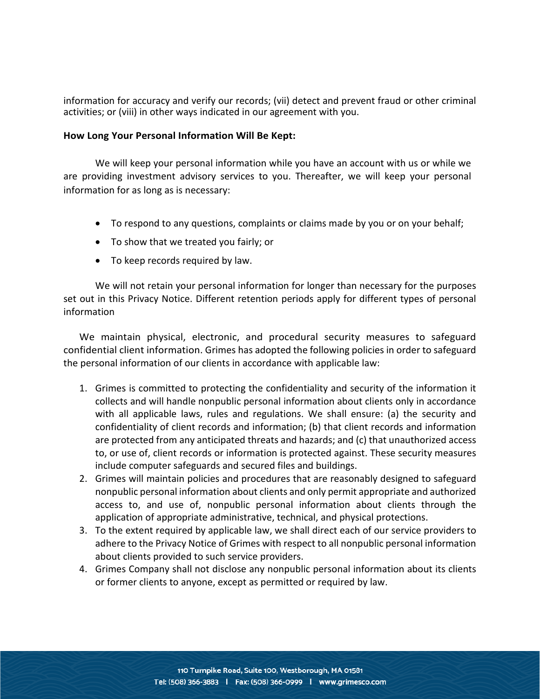information for accuracy and verify our records; (vii) detect and prevent fraud or other criminal activities; or (viii) in other ways indicated in our agreement with you.

#### **How Long Your Personal Information Will Be Kept:**

We will keep your personal information while you have an account with us or while we are providing investment advisory services to you. Thereafter, we will keep your personal information for as long as is necessary:

- To respond to any questions, complaints or claims made by you or on your behalf;
- To show that we treated you fairly; or
- To keep records required by law.

We will not retain your personal information for longer than necessary for the purposes set out in this Privacy Notice. Different retention periods apply for different types of personal information

We maintain physical, electronic, and procedural security measures to safeguard confidential client information. Grimes has adopted the following policies in order to safeguard the personal information of our clients in accordance with applicable law:

- 1. Grimes is committed to protecting the confidentiality and security of the information it collects and will handle nonpublic personal information about clients only in accordance with all applicable laws, rules and regulations. We shall ensure: (a) the security and confidentiality of client records and information; (b) that client records and information are protected from any anticipated threats and hazards; and (c) that unauthorized access to, or use of, client records or information is protected against. These security measures include computer safeguards and secured files and buildings.
- 2. Grimes will maintain policies and procedures that are reasonably designed to safeguard nonpublic personal information about clients and only permit appropriate and authorized access to, and use of, nonpublic personal information about clients through the application of appropriate administrative, technical, and physical protections.
- 3. To the extent required by applicable law, we shall direct each of our service providers to adhere to the Privacy Notice of Grimes with respect to all nonpublic personal information about clients provided to such service providers.
- 4. Grimes Company shall not disclose any nonpublic personal information about its clients or former clients to anyone, except as permitted or required by law.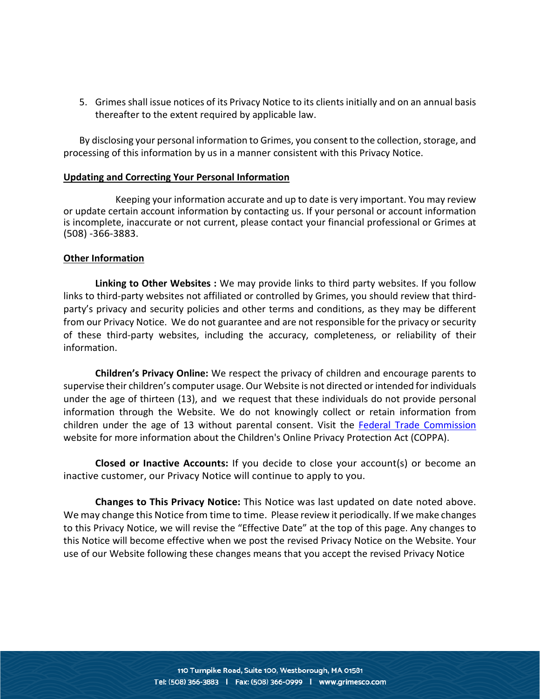5. Grimes shall issue notices of its Privacy Notice to its clients initially and on an annual basis thereafter to the extent required by applicable law.

By disclosing your personal information to Grimes, you consent to the collection, storage, and processing of this information by us in a manner consistent with this Privacy Notice.

#### **Updating and Correcting Your Personal Information**

Keeping your information accurate and up to date is very important. You may review or update certain account information by contacting us. If your personal or account information is incomplete, inaccurate or not current, please contact your financial professional or Grimes at (508) -366-3883.

#### **Other Information**

**Linking to Other Websites :** We may provide links to third party websites. If you follow links to third-party websites not affiliated or controlled by Grimes, you should review that thirdparty's privacy and security policies and other terms and conditions, as they may be different from our Privacy Notice. We do not guarantee and are not responsible for the privacy or security of these third-party websites, including the accuracy, completeness, or reliability of their information.

**Children's Privacy Online:** We respect the privacy of children and encourage parents to supervise their children's computer usage. Our Website is not directed or intended for individuals under the age of thirteen (13), and we request that these individuals do not provide personal information through the Website. We do not knowingly collect or retain information from children under the age of 13 without parental consent. Visit the [Federal Trade Commission](https://www.ftc.gov/tips-advice/business-center/privacy-and-security/children%27s-privacy) website for more information about the Children's Online Privacy Protection Act (COPPA).

**Closed or Inactive Accounts:** If you decide to close your account(s) or become an inactive customer, our Privacy Notice will continue to apply to you.

**Changes to This Privacy Notice:** This Notice was last updated on date noted above. We may change this Notice from time to time. Please review it periodically. If we make changes to this Privacy Notice, we will revise the "Effective Date" at the top of this page. Any changes to this Notice will become effective when we post the revised Privacy Notice on the Website. Your use of our Website following these changes means that you accept the revised Privacy Notice